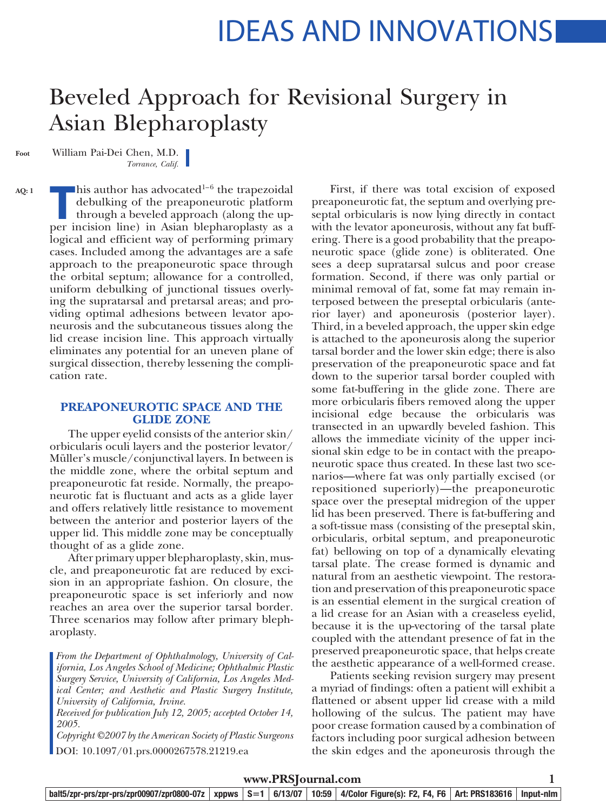# IDEAS AND INNOVATIONS

# Beveled Approach for Revisional Surgery in Asian Blepharoplasty

William Pai-Dei Chen, M.D. *Torrance, Calif.*

**Foot**

**AQ: 1**

This author has advocated<sup>1–6</sup> the trapezoidal debulking of the preaponeurotic platform through a beveled approach (along the upper incision line) in Asian blepharoplasty as a logical and efficient way of performing primary cases. Included among the advantages are a safe approach to the preaponeurotic space through the orbital septum; allowance for a controlled, uniform debulking of junctional tissues overlying the supratarsal and pretarsal areas; and providing optimal adhesions between levator aponeurosis and the subcutaneous tissues along the lid crease incision line. This approach virtually eliminates any potential for an uneven plane of surgical dissection, thereby lessening the complication rate.

# **PREAPONEUROTIC SPACE AND THE GLIDE ZONE**

The upper eyelid consists of the anterior skin/ orbicularis oculi layers and the posterior levator/ Müller's muscle/conjunctival layers. In between is the middle zone, where the orbital septum and preaponeurotic fat reside. Normally, the preaponeurotic fat is fluctuant and acts as a glide layer and offers relatively little resistance to movement between the anterior and posterior layers of the upper lid. This middle zone may be conceptually thought of as a glide zone.

After primary upper blepharoplasty, skin, muscle, and preaponeurotic fat are reduced by excision in an appropriate fashion. On closure, the preaponeurotic space is set inferiorly and now reaches an area over the superior tarsal border. Three scenarios may follow after primary blepharoplasty.

*From the Department of Ophthalmology, University of California, Los Angeles School of Medicine; Ophthalmic Plastic Surgery Service, University of California, Los Angeles Medical Center; and Aesthetic and Plastic Surgery Institute, University of California, Irvine.*

*Received for publication July 12, 2005; accepted October 14, 2005.*

*Copyright ©2007 by the American Society of Plastic Surgeons* DOI: 10.1097/01.prs.0000267578.21219.ea

First, if there was total excision of exposed preaponeurotic fat, the septum and overlying preseptal orbicularis is now lying directly in contact with the levator aponeurosis, without any fat buffering. There is a good probability that the preaponeurotic space (glide zone) is obliterated. One sees a deep supratarsal sulcus and poor crease formation. Second, if there was only partial or minimal removal of fat, some fat may remain interposed between the preseptal orbicularis (anterior layer) and aponeurosis (posterior layer). Third, in a beveled approach, the upper skin edge is attached to the aponeurosis along the superior tarsal border and the lower skin edge; there is also preservation of the preaponeurotic space and fat down to the superior tarsal border coupled with some fat-buffering in the glide zone. There are more orbicularis fibers removed along the upper incisional edge because the orbicularis was transected in an upwardly beveled fashion. This allows the immediate vicinity of the upper incisional skin edge to be in contact with the preaponeurotic space thus created. In these last two scenarios—where fat was only partially excised (or repositioned superiorly)—the preaponeurotic space over the preseptal midregion of the upper lid has been preserved. There is fat-buffering and a soft-tissue mass (consisting of the preseptal skin, orbicularis, orbital septum, and preaponeurotic fat) bellowing on top of a dynamically elevating tarsal plate. The crease formed is dynamic and natural from an aesthetic viewpoint. The restoration and preservation of this preaponeurotic space is an essential element in the surgical creation of a lid crease for an Asian with a creaseless eyelid, because it is the up-vectoring of the tarsal plate coupled with the attendant presence of fat in the preserved preaponeurotic space, that helps create the aesthetic appearance of a well-formed crease.

Patients seeking revision surgery may present a myriad of findings: often a patient will exhibit a flattened or absent upper lid crease with a mild hollowing of the sulcus. The patient may have poor crease formation caused by a combination of factors including poor surgical adhesion between the skin edges and the aponeurosis through the

| www.PRSJournal.com                                                                                                                      |  |  |  |  |  |  |  |
|-----------------------------------------------------------------------------------------------------------------------------------------|--|--|--|--|--|--|--|
| balt5/zpr-prs/zpr-prs/zpr00907/zpr0800-07z   xppws   S=1   6/13/07   10:59   4/Color Figure(s): F2, F4, F6   Art: PRS183616   Input-nlm |  |  |  |  |  |  |  |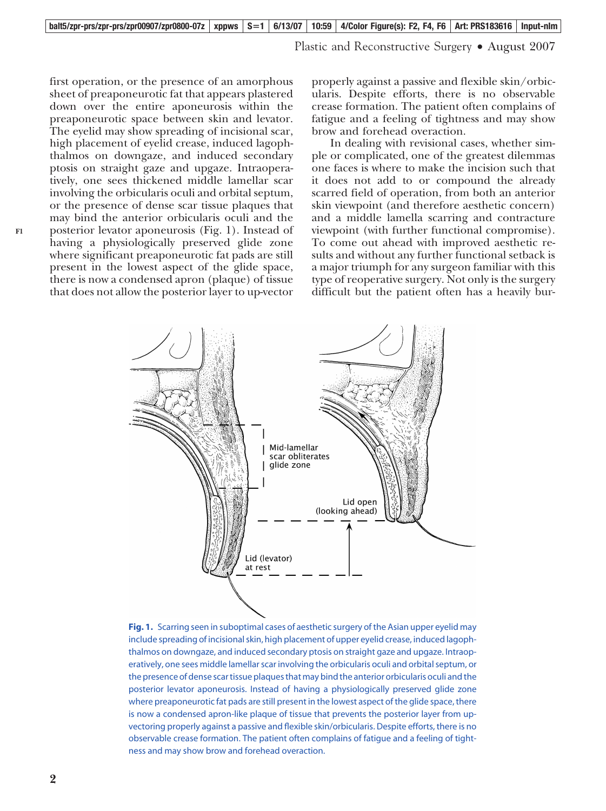| balt5/zpr-prs/zpr-prs/zpr00907/zpr0800-07z   xppws   S=1   6/13/07   10:59   4/Color Figure(s): F2, F4, F6   Art: PRS183616   Input-nlm |  |  |  |  |  |  |  |
|-----------------------------------------------------------------------------------------------------------------------------------------|--|--|--|--|--|--|--|
|-----------------------------------------------------------------------------------------------------------------------------------------|--|--|--|--|--|--|--|

Plastic and Reconstructive Surgery • August 2007

first operation, or the presence of an amorphous sheet of preaponeurotic fat that appears plastered down over the entire aponeurosis within the preaponeurotic space between skin and levator. The eyelid may show spreading of incisional scar, high placement of eyelid crease, induced lagophthalmos on downgaze, and induced secondary ptosis on straight gaze and upgaze. Intraoperatively, one sees thickened middle lamellar scar involving the orbicularis oculi and orbital septum, or the presence of dense scar tissue plaques that may bind the anterior orbicularis oculi and the posterior levator aponeurosis (Fig. 1). Instead of having a physiologically preserved glide zone where significant preaponeurotic fat pads are still present in the lowest aspect of the glide space, there is now a condensed apron (plaque) of tissue that does not allow the posterior layer to up-vector

properly against a passive and flexible skin/orbicularis. Despite efforts, there is no observable crease formation. The patient often complains of fatigue and a feeling of tightness and may show brow and forehead overaction.

In dealing with revisional cases, whether simple or complicated, one of the greatest dilemmas one faces is where to make the incision such that it does not add to or compound the already scarred field of operation, from both an anterior skin viewpoint (and therefore aesthetic concern) and a middle lamella scarring and contracture viewpoint (with further functional compromise). To come out ahead with improved aesthetic results and without any further functional setback is a major triumph for any surgeon familiar with this type of reoperative surgery. Not only is the surgery difficult but the patient often has a heavily bur-



**Fig. 1.** Scarring seen in suboptimal cases of aesthetic surgery of the Asian upper eyelid may include spreading of incisional skin, high placement of upper eyelid crease, induced lagophthalmos on downgaze, and induced secondary ptosis on straight gaze and upgaze. Intraoperatively, one sees middle lamellar scar involving the orbicularis oculi and orbital septum, or the presence of dense scar tissue plaques that may bind the anterior orbicularis oculi and the posterior levator aponeurosis. Instead of having a physiologically preserved glide zone where preaponeurotic fat pads are still present in the lowest aspect of the glide space, there is now a condensed apron-like plaque of tissue that prevents the posterior layer from upvectoring properly against a passive and flexible skin/orbicularis. Despite efforts, there is no observable crease formation. The patient often complains of fatigue and a feeling of tightness and may show brow and forehead overaction.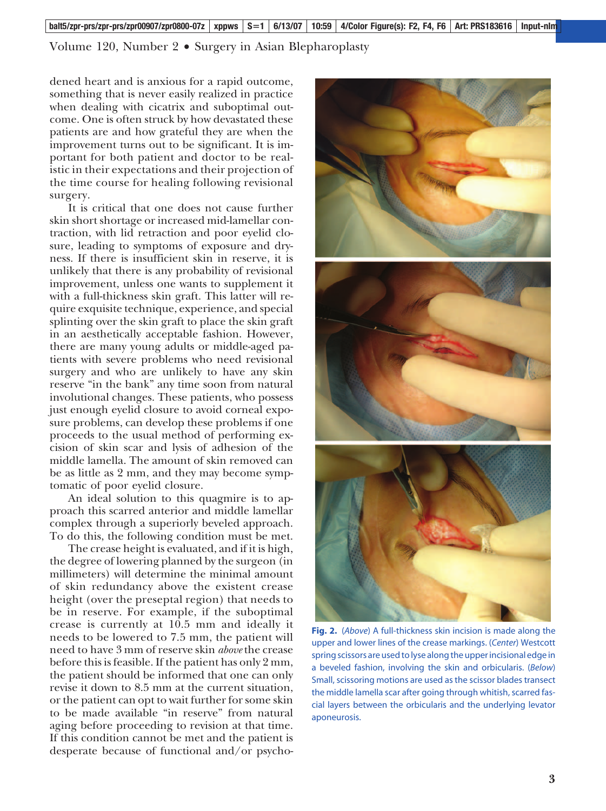| balt5/zpr-prs/zpr-prs/zpr00907/zpr0800-07z   xppws   S=1   6/13/07   10:59   4/Color Figure(s): F2, F4, F6   Art: PRS183616   Input-nim |  |  |  |  |  |  |
|-----------------------------------------------------------------------------------------------------------------------------------------|--|--|--|--|--|--|
|-----------------------------------------------------------------------------------------------------------------------------------------|--|--|--|--|--|--|

Volume 120, Number 2 • Surgery in Asian Blepharoplasty

dened heart and is anxious for a rapid outcome, something that is never easily realized in practice when dealing with cicatrix and suboptimal outcome. One is often struck by how devastated these patients are and how grateful they are when the improvement turns out to be significant. It is important for both patient and doctor to be realistic in their expectations and their projection of the time course for healing following revisional surgery.

It is critical that one does not cause further skin short shortage or increased mid-lamellar contraction, with lid retraction and poor eyelid closure, leading to symptoms of exposure and dryness. If there is insufficient skin in reserve, it is unlikely that there is any probability of revisional improvement, unless one wants to supplement it with a full-thickness skin graft. This latter will require exquisite technique, experience, and special splinting over the skin graft to place the skin graft in an aesthetically acceptable fashion. However, there are many young adults or middle-aged patients with severe problems who need revisional surgery and who are unlikely to have any skin reserve "in the bank" any time soon from natural involutional changes. These patients, who possess just enough eyelid closure to avoid corneal exposure problems, can develop these problems if one proceeds to the usual method of performing excision of skin scar and lysis of adhesion of the middle lamella. The amount of skin removed can be as little as 2 mm, and they may become symptomatic of poor eyelid closure.

An ideal solution to this quagmire is to approach this scarred anterior and middle lamellar complex through a superiorly beveled approach. To do this, the following condition must be met.

The crease height is evaluated, and if it is high, the degree of lowering planned by the surgeon (in millimeters) will determine the minimal amount of skin redundancy above the existent crease height (over the preseptal region) that needs to be in reserve. For example, if the suboptimal crease is currently at 10.5 mm and ideally it needs to be lowered to 7.5 mm, the patient will need to have 3 mm of reserve skin *above* the crease before this is feasible. If the patient has only 2 mm, the patient should be informed that one can only revise it down to 8.5 mm at the current situation, or the patient can opt to wait further for some skin to be made available "in reserve" from natural aging before proceeding to revision at that time. If this condition cannot be met and the patient is desperate because of functional and/or psycho-



**Fig. 2.** (*Above*) A full-thickness skin incision is made along the upper and lower lines of the crease markings. (*Center*) Westcott spring scissors are used to lyse along the upper incisional edge in a beveled fashion, involving the skin and orbicularis. (*Below*) Small, scissoring motions are used as the scissor blades transect the middle lamella scar after going through whitish, scarred fascial layers between the orbicularis and the underlying levator aponeurosis.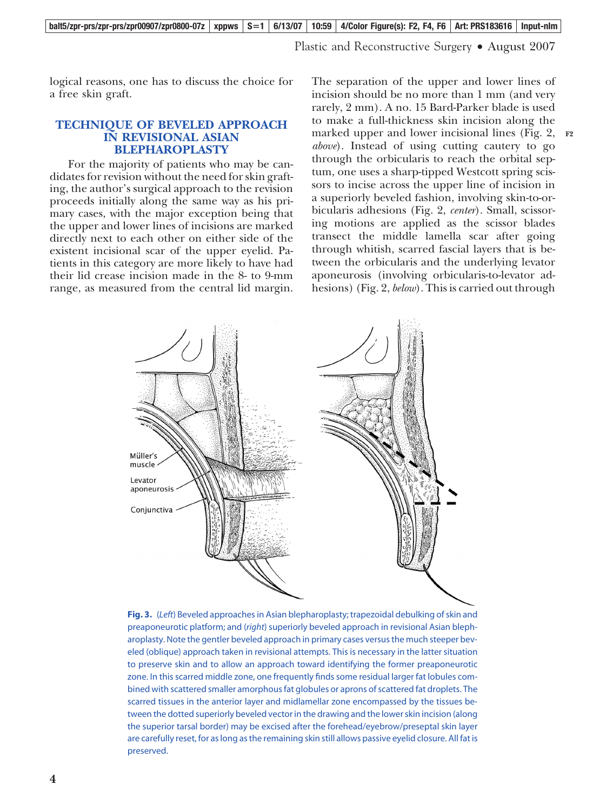| balt5/zpr-prs/zpr-prs/zpr00907/zpr0800-07z   xppws   S=1   6/13/07   10:59   4/Color Figure(s): F2, F4, F6   Art: PRS183616   Input-nlm |  |  |  |  |  |  |  |
|-----------------------------------------------------------------------------------------------------------------------------------------|--|--|--|--|--|--|--|
|-----------------------------------------------------------------------------------------------------------------------------------------|--|--|--|--|--|--|--|

Plastic and Reconstructive Surgery • August 2007

logical reasons, one has to discuss the choice for a free skin graft.

## **TECHNIQUE OF BEVELED APPROACH IN REVISIONAL ASIAN BLEPHAROPLASTY**

For the majority of patients who may be candidates for revision without the need for skin grafting, the author's surgical approach to the revision proceeds initially along the same way as his primary cases, with the major exception being that the upper and lower lines of incisions are marked directly next to each other on either side of the existent incisional scar of the upper eyelid. Patients in this category are more likely to have had their lid crease incision made in the 8- to 9-mm range, as measured from the central lid margin. The separation of the upper and lower lines of incision should be no more than 1 mm (and very rarely, 2 mm). A no. 15 Bard-Parker blade is used to make a full-thickness skin incision along the marked upper and lower incisional lines (Fig. 2, **F2** *above*). Instead of using cutting cautery to go through the orbicularis to reach the orbital septum, one uses a sharp-tipped Westcott spring scissors to incise across the upper line of incision in a superiorly beveled fashion, involving skin-to-orbicularis adhesions (Fig. 2, *center*). Small, scissoring motions are applied as the scissor blades transect the middle lamella scar after going through whitish, scarred fascial layers that is between the orbicularis and the underlying levator aponeurosis (involving orbicularis-to-levator adhesions) (Fig. 2, *below*). This is carried out through



**Fig. 3.** (*Left*) Beveled approaches in Asian blepharoplasty; trapezoidal debulking of skin and preaponeurotic platform; and (*right*) superiorly beveled approach in revisional Asian blepharoplasty. Note the gentler beveled approach in primary cases versus the much steeper beveled (oblique) approach taken in revisional attempts. This is necessary in the latter situation to preserve skin and to allow an approach toward identifying the former preaponeurotic zone. In this scarred middle zone, one frequently finds some residual larger fat lobules combined with scattered smaller amorphous fat globules or aprons of scattered fat droplets. The scarred tissues in the anterior layer and midlamellar zone encompassed by the tissues between the dotted superiorly beveled vector in the drawing and the lower skin incision (along the superior tarsal border) may be excised after the forehead/eyebrow/preseptal skin layer are carefully reset, for as long as the remaining skin still allows passive eyelid closure. All fat is preserved.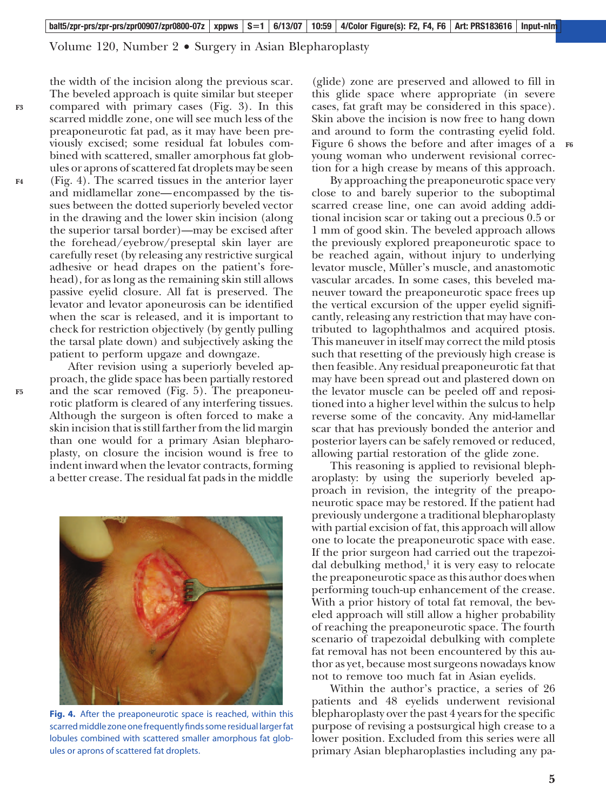Volume 120, Number 2 • Surgery in Asian Blepharoplasty

**F3**

**F4**

**F5**

the width of the incision along the previous scar. The beveled approach is quite similar but steeper compared with primary cases (Fig. 3). In this scarred middle zone, one will see much less of the preaponeurotic fat pad, as it may have been previously excised; some residual fat lobules combined with scattered, smaller amorphous fat globules or aprons of scattered fat droplets may be seen (Fig. 4). The scarred tissues in the anterior layer and midlamellar zone— encompassed by the tissues between the dotted superiorly beveled vector in the drawing and the lower skin incision (along the superior tarsal border)—may be excised after the forehead/eyebrow/preseptal skin layer are carefully reset (by releasing any restrictive surgical adhesive or head drapes on the patient's forehead), for as long as the remaining skin still allows passive eyelid closure. All fat is preserved. The levator and levator aponeurosis can be identified when the scar is released, and it is important to check for restriction objectively (by gently pulling the tarsal plate down) and subjectively asking the patient to perform upgaze and downgaze.

After revision using a superiorly beveled approach, the glide space has been partially restored and the scar removed (Fig. 5). The preaponeurotic platform is cleared of any interfering tissues. Although the surgeon is often forced to make a skin incision that is still farther from the lid margin than one would for a primary Asian blepharoplasty, on closure the incision wound is free to indent inward when the levator contracts, forming a better crease. The residual fat pads in the middle



**Fig. 4.** After the preaponeurotic space is reached, within this scarred middle zone one frequently finds some residual larger fat lobules combined with scattered smaller amorphous fat globules or aprons of scattered fat droplets.

(glide) zone are preserved and allowed to fill in this glide space where appropriate (in severe cases, fat graft may be considered in this space). Skin above the incision is now free to hang down and around to form the contrasting eyelid fold. Figure 6 shows the before and after images of a **F6** young woman who underwent revisional correction for a high crease by means of this approach.

By approaching the preaponeurotic space very close to and barely superior to the suboptimal scarred crease line, one can avoid adding additional incision scar or taking out a precious 0.5 or 1 mm of good skin. The beveled approach allows the previously explored preaponeurotic space to be reached again, without injury to underlying levator muscle, Müller's muscle, and anastomotic vascular arcades. In some cases, this beveled maneuver toward the preaponeurotic space frees up the vertical excursion of the upper eyelid significantly, releasing any restriction that may have contributed to lagophthalmos and acquired ptosis. This maneuver in itself may correct the mild ptosis such that resetting of the previously high crease is then feasible. Any residual preaponeurotic fat that may have been spread out and plastered down on the levator muscle can be peeled off and repositioned into a higher level within the sulcus to help reverse some of the concavity. Any mid-lamellar scar that has previously bonded the anterior and posterior layers can be safely removed or reduced, allowing partial restoration of the glide zone.

This reasoning is applied to revisional blepharoplasty: by using the superiorly beveled approach in revision, the integrity of the preaponeurotic space may be restored. If the patient had previously undergone a traditional blepharoplasty with partial excision of fat, this approach will allow one to locate the preaponeurotic space with ease. If the prior surgeon had carried out the trapezoidal debulking method, $\frac{1}{1}$  it is very easy to relocate the preaponeurotic space as this author does when performing touch-up enhancement of the crease. With a prior history of total fat removal, the beveled approach will still allow a higher probability of reaching the preaponeurotic space. The fourth scenario of trapezoidal debulking with complete fat removal has not been encountered by this author as yet, because most surgeons nowadays know not to remove too much fat in Asian eyelids.

Within the author's practice, a series of 26 patients and 48 eyelids underwent revisional blepharoplasty over the past 4 years for the specific purpose of revising a postsurgical high crease to a lower position. Excluded from this series were all primary Asian blepharoplasties including any pa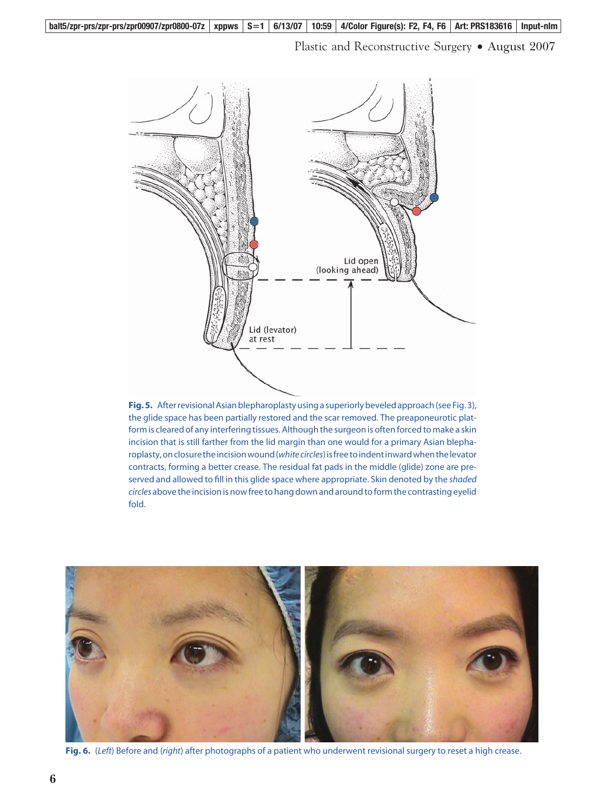Plastic and Reconstructive Surgery • August 2007



**Fig. 5.** After revisional Asian blepharoplasty using a superiorly beveled approach(see Fig. 3), the glide space has been partially restored and the scar removed. The preaponeurotic platform is cleared of any interfering tissues. Although the surgeon is often forced to make a skin incision that is still farther from the lid margin than one would for a primary Asian blepharoplasty,onclosure theincisionwound(*white circles*)isfree toindentinwardwhen thelevator contracts, forming a better crease. The residual fat pads in the middle (glide) zone are preserved and allowed to fill in this glide space where appropriate. Skin denoted by the *shaded circles* above the incision is nowfree to hang down and around toform the contrasting eyelid fold.



**Fig. 6.** (*Left*) Before and (*right*) after photographs of a patient who underwent revisional surgery to reset a high crease.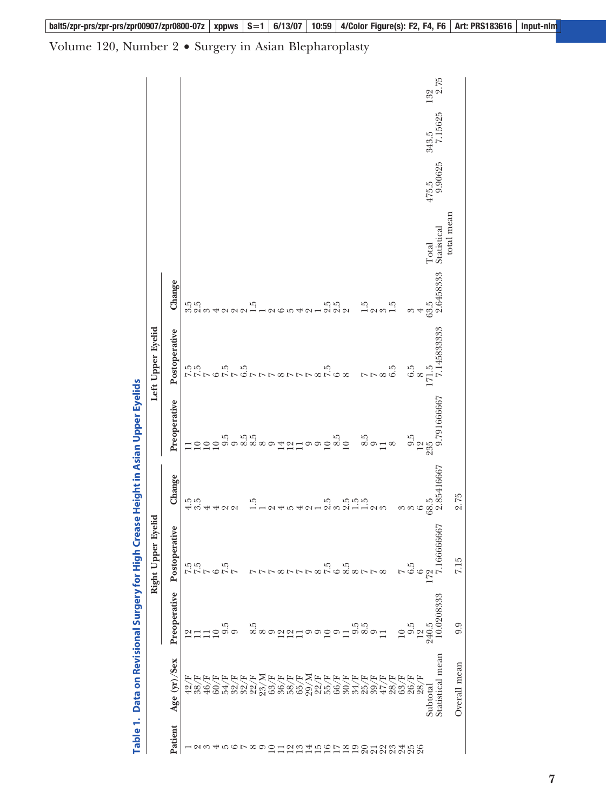| Left Upper Eyelid<br>7.145833333<br>Postoperative<br>rrrorrorrrxrrrxrox<br>$5 - 5$<br>$6 - 7$<br>$\frac{5}{8}$<br>171.5<br>9.791666667<br>Preoperative<br>$8.5$<br>$-2$<br>$-3$<br>$\frac{9.5}{235}$<br>1222<br>$68.5$<br>$7$ 2.85416667<br>Change<br>īΟ.<br>ΙQ.<br>ن سن<br>ن بن بن<br>4<br>$\omega$<br>4<br>4<br>$\alpha$<br>$  \alpha$<br>ת 4<br>4<br>$\alpha$ $ \alpha$ $\alpha$ $\alpha$ $  \alpha$ $\alpha$<br>၈ ၈<br>Right Upper Eyelid<br>7.166666667<br>Postoperative |
|-------------------------------------------------------------------------------------------------------------------------------------------------------------------------------------------------------------------------------------------------------------------------------------------------------------------------------------------------------------------------------------------------------------------------------------------------------------------------------|
|                                                                                                                                                                                                                                                                                                                                                                                                                                                                               |
|                                                                                                                                                                                                                                                                                                                                                                                                                                                                               |
|                                                                                                                                                                                                                                                                                                                                                                                                                                                                               |
|                                                                                                                                                                                                                                                                                                                                                                                                                                                                               |
|                                                                                                                                                                                                                                                                                                                                                                                                                                                                               |
|                                                                                                                                                                                                                                                                                                                                                                                                                                                                               |
|                                                                                                                                                                                                                                                                                                                                                                                                                                                                               |
|                                                                                                                                                                                                                                                                                                                                                                                                                                                                               |
|                                                                                                                                                                                                                                                                                                                                                                                                                                                                               |
|                                                                                                                                                                                                                                                                                                                                                                                                                                                                               |
|                                                                                                                                                                                                                                                                                                                                                                                                                                                                               |
|                                                                                                                                                                                                                                                                                                                                                                                                                                                                               |
|                                                                                                                                                                                                                                                                                                                                                                                                                                                                               |
|                                                                                                                                                                                                                                                                                                                                                                                                                                                                               |
|                                                                                                                                                                                                                                                                                                                                                                                                                                                                               |
|                                                                                                                                                                                                                                                                                                                                                                                                                                                                               |
|                                                                                                                                                                                                                                                                                                                                                                                                                                                                               |
|                                                                                                                                                                                                                                                                                                                                                                                                                                                                               |
|                                                                                                                                                                                                                                                                                                                                                                                                                                                                               |
|                                                                                                                                                                                                                                                                                                                                                                                                                                                                               |
|                                                                                                                                                                                                                                                                                                                                                                                                                                                                               |
|                                                                                                                                                                                                                                                                                                                                                                                                                                                                               |
|                                                                                                                                                                                                                                                                                                                                                                                                                                                                               |
|                                                                                                                                                                                                                                                                                                                                                                                                                                                                               |
| 2.75                                                                                                                                                                                                                                                                                                                                                                                                                                                                          |